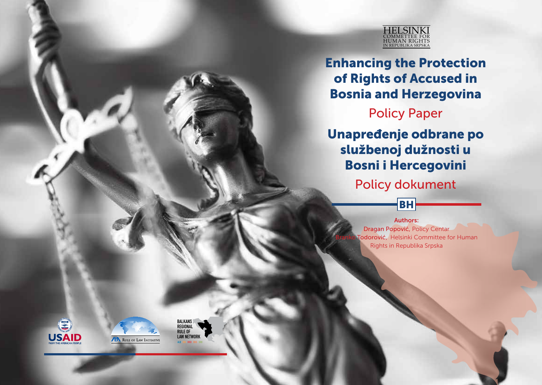

Enhancing the Protection of Rights of Accused in Bosnia and Herzegovina

Policy Paper

Unapređenje odbrane po službenoj dužnosti u Bosni i Hercegovini

Policy dokument

BH



Dragan Popović, Policy Centar Todorović, Helsinki Committee for Human Rights in Republika Srpska





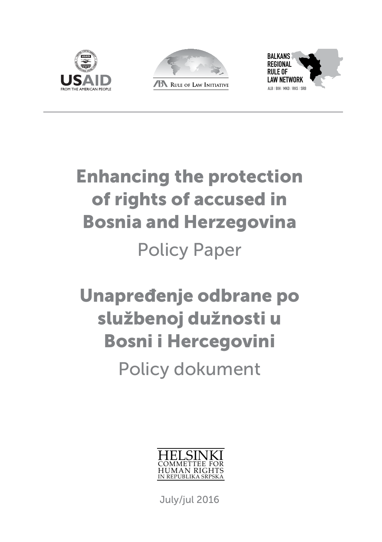





# Enhancing the protection of rights of accused in Bosnia and Herzegovina Policy Paper

# Unapređenje odbrane po službenoj dužnosti u Bosni i Hercegovini

Policy dokument



July/jul 2016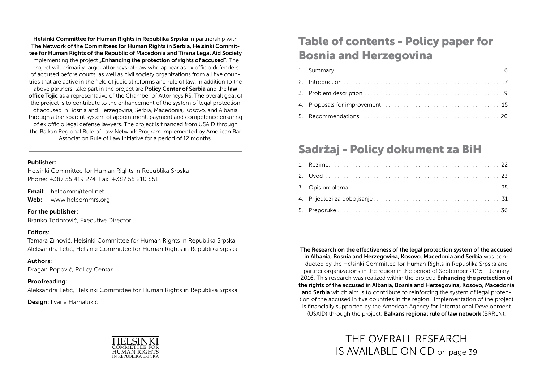Helsinki Committee for Human Rights in Republika Srpska in partnership with The Network of the Committees for Human Rights in Serbia, Helsinki Committee for Human Rights of the Republic of Macedonia and Tirana Legal Aid Society implementing the project **"Enhancing the protection of rights of accused**". The project will primarily target attorneys-at-law who appear as ex officio defenders of accused before courts, as well as civil society organizations from all five countries that are active in the field of judicial reforms and rule of law. In addition to the above partners, take part in the project are **Policy Center of Serbia** and the **law** office Tojic as a representative of the Chamber of Attorneys RS. The overall goal of the project is to contribute to the enhancement of the system of legal protection of accused in Bosnia and Herzegovina, Serbia, Macedonia, Kosovo, and Albania through a transparent system of appointment, payment and competence ensuring of ex officio legal defense lawyers. The project is financed from USAID through the Balkan Regional Rule of Law Network Program implemented by American Bar Association Rule of Law Initiative for a period of 12 months.

#### Publisher:

Helsinki Committee for Human Rights in Republika Srpska Phone: +387 55 419 274 Fax: +387 55 210 851

Email: helcomm@teol.net

Web: www.helcommrs.org

#### For the publisher:

Branko Todorović, Executive Director

#### Editors:

Tamara Zrnović, Helsinki Committee for Human Rights in Republika Srpska Aleksandra Letić, Helsinki Committee for Human Rights in Republika Srpska

#### Authors:

Dragan Popović, Policy Centar

#### Proofreading:

Aleksandra Letić, Helsinki Committee for Human Rights in Republika Srpska

Design: Ilvana Hamalukić



## Table of contents - Policy paper for Bosnia and Herzegovina

## Sadržaj - Policy dokument za BiH

The Research on the effectiveness of the legal protection system of the accused in Albania, Bosnia and Herzegovina, Kosovo, Macedonia and Serbia was conducted by the Helsinki Committee for Human Rights in Republika Srpska and partner organizations in the region in the period of September 2015 - January 2016. This research was realized within the project: **Enhancing the protection of** the rights of the accused in Albania, Bosnia and Herzegovina, Kosovo, Macedonia and Serbia which aim is to contribute to reinforcing the system of legal protection of the accused in five countries in the region. Implementation of the project is financially supported by the American Agency for International Development (USAID) through the project: Balkans regional rule of law network (BRRLN).

> THE OVERALL RESEARCH IS AVAILABLE ON CD on page 39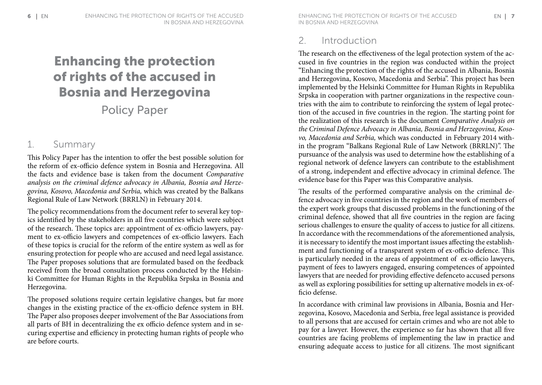## Enhancing the protection of rights of the accused in Bosnia and Herzegovina

Policy Paper

## 1. Summary

This Policy Paper has the intention to offer the best possible solution for the reform of ex-officio defence system in Bosnia and Herzegovina. All the facts and evidence base is taken from the document *Comparative analysis on the criminal defence advocacy in Albania, Bosnia and Herzegovina, Kosovo, Macedonia and Serbia,* which was created by the Balkans Regional Rule of Law Network (BRRLN) in February 2014.

The policy recommendations from the document refer to several key topics identified by the stakeholders in all five countries which were subject of the research. These topics are: appointment of ex-officio lawyers, payment to ex-officio lawyers and competences of ex-officio lawyers. Each of these topics is crucial for the reform of the entire system as well as for ensuring protection for people who are accused and need legal assistance. The Paper proposes solutions that are formulated based on the feedback received from the broad consultation process conducted by the Helsinki Committee for Human Rights in the Republika Srpska in Bosnia and Herzegovina.

The proposed solutions require certain legislative changes, but far more changes in the existing practice of the ex-officio defence system in BH. The Paper also proposes deeper involvement of the Bar Associations from all parts of BH in decentralizing the ex officio defence system and in securing expertise and efficiency in protecting human rights of people who are before courts.

6 ENHANCING THE PROTECTION OF RIGHTS OF THE ACCUSED ENHANCING THE PROTECTION OF RIGHTS OF THE ACCUSED EN T in Bosnia and Herzegovina ENHANCING THE PROTECTION OF RIGHTS OF THE ACCUSED ENHANCING THE PROTECTION OF RIGHTS OF THE ACCUSED EN

## 2. Introduction

The research on the effectiveness of the legal protection system of the accused in five countries in the region was conducted within the project "Enhancing the protection of the rights of the accused in Albania, Bosnia and Herzegovina, Kosovo, Macedonia and Serbia". This project has been implemented by the Helsinki Committee for Human Rights in Republika Srpska in cooperation with partner organizations in the respective countries with the aim to contribute to reinforcing the system of legal protection of the accused in five countries in the region. The starting point for the realization of this research is the document *Comparative Analysis on the Criminal Defence Advocacy in Albania, Bosnia and Herzegovina, Kosovo, Macedonia and Serbia,* which was conducted in February 2014 within the program "Balkans Regional Rule of Law Network (BRRLN)". The pursuance of the analysis was used to determine how the establishing of a regional network of defence lawyers can contribute to the establishment of a strong, independent and effective advocacy in criminal defence. The evidence base for this Paper was this Comparative analysis.

The results of the performed comparative analysis on the criminal defence advocacy in five countries in the region and the work of members of the expert work groups that discussed problems in the functioning of the criminal defence, showed that all five countries in the region are facing serious challenges to ensure the quality of access to justice for all citizens. In accordance with the recommendations of the aforementioned analysis, it is necessary to identify the most important issues affecting the establishment and functioning of a transparent system of ex-officio defence. This is particularly needed in the areas of appointment of ex-officio lawyers, payment of fees to lawyers engaged, ensuring competences of appointed lawyers that are needed for providing effective defenceto accused persons as well as exploring possibilities for setting up alternative models in ex-officio defense.

In accordance with criminal law provisions in Albania, Bosnia and Herzegovina, Kosovo, Macedonia and Serbia, free legal assistance is provided to all persons that are accused for certain crimes and who are not able to pay for a lawyer. However, the experience so far has shown that all five countries are facing problems of implementing the law in practice and ensuring adequate access to justice for all citizens. The most significant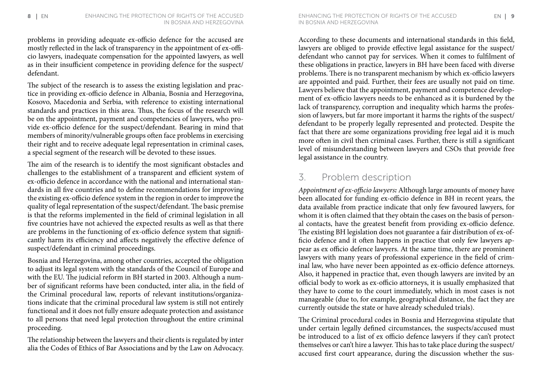problems in providing adequate ex-officio defence for the accused are mostly reflected in the lack of transparency in the appointment of ex-officio lawyers, inadequate compensation for the appointed lawyers, as well as in their insufficient competence in providing defence for the suspect/ defendant.

The subject of the research is to assess the existing legislation and practice in providing ex-officio defence in Albania, Bosnia and Herzegovina, Kosovo, Macedonia and Serbia, with reference to existing international standards and practices in this area. Thus, the focus of the research will be on the appointment, payment and competencies of lawyers, who provide ex-officio defence for the suspect/defendant. Bearing in mind that members of minority/vulnerable groups often face problems in exercising their right and to receive adequate legal representation in criminal cases, a special segment of the research will be devoted to these issues.

The aim of the research is to identify the most significant obstacles and challenges to the establishment of a transparent and efficient system of ex-officio defence in accordance with the national and international standards in all five countries and to define recommendations for improving the existing ex-officio defence system in the region in order to improve the quality of legal representation of the suspect/defendant. The basic premise is that the reforms implemented in the field of criminal legislation in all five countries have not achieved the expected results as well as that there are problems in the functioning of ex-officio defence system that significantly harm its efficiency and affects negatively the effective defence of suspect/defendant in criminal proceedings.

Bosnia and Herzegovina, among other countries, accepted the obligation to adjust its legal system with the standards of the Council of Europe and with the EU. The judicial reform in BH started in 2003. Although a number of significant reforms have been conducted, inter alia, in the field of the Criminal procedural law, reports of relevant institutions/organizations indicate that the criminal procedural law system is still not entirely functional and it does not fully ensure adequate protection and assistance to all persons that need legal protection throughout the entire criminal proceeding.

The relationship between the lawyers and their clients is regulated by inter alia the Codes of Ethics of Bar Associations and by the Law on Advocacy. According to these documents and international standards in this field, lawyers are obliged to provide effective legal assistance for the suspect/ defendant who cannot pay for services. When it comes to fulfilment of these obligations in practice, lawyers in BH have been faced with diverse problems. There is no transparent mechanism by which ex-officio lawyers are appointed and paid. Further, their fees are usually not paid on time. Lawyers believe that the appointment, payment and competence development of ex-officio lawyers needs to be enhanced as it is burdened by the lack of transparency, corruption and inequality which harms the profession of lawyers, but far more important it harms the rights of the suspect/ defendant to be properly legally represented and protected. Despite the fact that there are some organizations providing free legal aid it is much more often in civil then criminal cases. Further, there is still a significant level of misunderstanding between lawyers and CSOs that provide free legal assistance in the country.

## 3. Problem description

*Appointment of ex-officio lawyers:* Although large amounts of money have been allocated for funding ex-officio defence in BH in recent years, the data available from practice indicate that only few favoured lawyers, for whom it is often claimed that they obtain the cases on the basis of personal contacts, have the greatest benefit from providing ex-officio defence. The existing BH legislation does not guarantee a fair distribution of ex-officio defence and it often happens in practice that only few lawyers appear as ex officio defence lawyers. At the same time, there are prominent lawyers with many years of professional experience in the field of criminal law, who have never been appointed as ex-officio defence attorneys. Also, it happened in practice that, even though lawyers are invited by an official body to work as ex-officio attorneys, it is usually emphasized that they have to come to the court immediately, which in most cases is not manageable (due to, for example, geographical distance, the fact they are currently outside the state or have already scheduled trials).

The Criminal procedural codes in Bosnia and Herzegovina stipulate that under certain legally defined circumstances, the suspects/accused must be introduced to a list of ex officio defence lawyers if they can't protect themselves or can't hire a lawyer. This has to take place during the suspect/ accused first court appearance, during the discussion whether the sus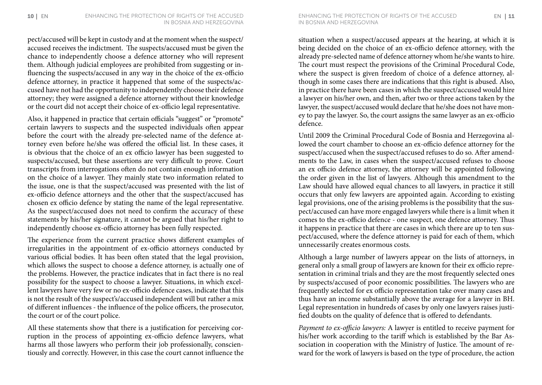pect/accused will be kept in custody and at the moment when the suspect/ accused receives the indictment. The suspects/accused must be given the chance to independently choose a defence attorney who will represent them. Although judicial employees are prohibited from suggesting or influencing the suspects/accused in any way in the choice of the ex-officio defence attorney, in practice it happened that some of the suspects/accused have not had the opportunity to independently choose their defence attorney; they were assigned a defence attorney without their knowledge or the court did not accept their choice of ex-officio legal representative.

Also, it happened in practice that certain officials "suggest" or "promote" certain lawyers to suspects and the suspected individuals often appear before the court with the already pre-selected name of the defence attorney even before he/she was offered the official list. In these cases, it is obvious that the choice of an ex officio lawyer has been suggested to suspects/accused, but these assertions are very difficult to prove. Court transcripts from interrogations often do not contain enough information on the choice of a lawyer. They mainly state two information related to the issue, one is that the suspect/accused was presented with the list of ex-officio defence attorneys and the other that the suspect/accused has chosen ex officio defence by stating the name of the legal representative. As the suspect/accused does not need to confirm the accuracy of these statements by his/her signature, it cannot be argued that his/her right to independently choose ex-officio attorney has been fully respected.

The experience from the current practice shows different examples of irregularities in the appointment of ex-officio attorneys conducted by various official bodies. It has been often stated that the legal provision, which allows the suspect to choose a defence attorney, is actually one of the problems. However, the practice indicates that in fact there is no real possibility for the suspect to choose a lawyer. Situations, in which excellent lawyers have very few or no ex-officio defence cases, indicate that this is not the result of the suspect's/accused independent will but rather a mix of different influences - the influence of the police officers, the prosecutor, the court or of the court police.

All these statements show that there is a justification for perceiving corruption in the process of appointing ex-officio defence lawyers, what harms all those lawyers who perform their job professionally, conscientiously and correctly. However, in this case the court cannot influence the

situation when a suspect/accused appears at the hearing, at which it is being decided on the choice of an ex-officio defence attorney, with the already pre-selected name of defence attorney whom he/she wants to hire. The court must respect the provisions of the Criminal Procedural Code, where the suspect is given freedom of choice of a defence attorney, although in some cases there are indications that this right is abused. Also, in practice there have been cases in which the suspect/accused would hire a lawyer on his/her own, and then, after two or three actions taken by the lawyer, the suspect/accused would declare that he/she does not have money to pay the lawyer. So, the court assigns the same lawyer as an ex-officio defence.

Until 2009 the Criminal Procedural Code of Bosnia and Herzegovina allowed the court chamber to choose an ex-officio defence attorney for the suspect/accused when the suspect/accused refuses to do so. After amendments to the Law, in cases when the suspect/accused refuses to choose an ex officio defence attorney, the attorney will be appointed following the order given in the list of lawyers. Although this amendment to the Law should have allowed equal chances to all lawyers, in practice it still occurs that only few lawyers are appointed again. According to existing legal provisions, one of the arising problems is the possibility that the suspect/accused can have more engaged lawyers while there is a limit when it comes to the ex-officio defence - one suspect, one defence attorney. Thus it happens in practice that there are cases in which there are up to ten suspect/accused, where the defence attorney is paid for each of them, which unnecessarily creates enormous costs.

Although a large number of lawyers appear on the lists of attorneys, in general only a small group of lawyers are known for their ex officio representation in criminal trials and they are the most frequently selected ones by suspects/accused of poor economic possibilities. The lawyers who are frequently selected for ex officio representation take over many cases and thus have an income substantially above the average for a lawyer in BH. Legal representation in hundreds of cases by only one lawyers raises justified doubts on the quality of defence that is offered to defendants.

*Payment to ex-officio lawyers:* A lawyer is entitled to receive payment for his/her work according to the tariff which is established by the Bar Association in cooperation with the Ministry of Justice. The amount of reward for the work of lawyers is based on the type of procedure, the action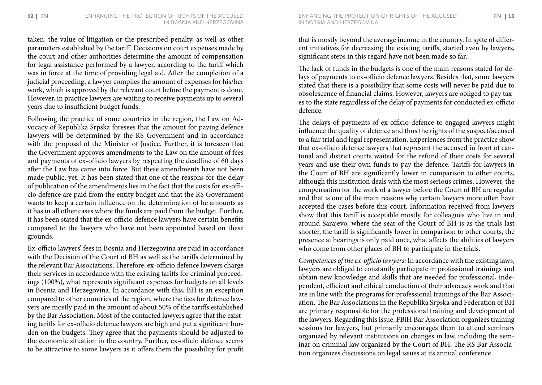taken, the value of litigation or the prescribed penalty, as well as other parameters established by the tariff. Decisions on court expenses made by the court and other authorities determine the amount of compensation for legal assistance performed by a lawyer, according to the tariff which was in force at the time of providing legal aid. After the completion of a judicial proceeding, a lawyer compiles the amount of expenses for his/her work, which is approved by the relevant court before the payment is done. However, in practice lawyers are waiting to receive payments up to several years due to insufficient budget funds.

Following the practice of some countries in the region, the Law on Advocacy of Republika Srpska foresees that the amount for paying defence lawyers will be determined by the RS Government and in accordance with the proposal of the Minister of Justice. Further, it is foreseen that the Government approves amendments to the Law on the amount of fees and payments of ex-officio lawyers by respecting the deadline of 60 days after the Law has came into force. But these amendments have not been made public, yet. It has been stated that one of the reasons for the delay of publication of the amendments lies in the fact that the costs for ex-officio defence are paid from the entity budget and that the RS Government wants to keep a certain influence on the determination of he amounts as it has in all other cases where the funds are paid from the budget. Further, it has been stated that the ex-officio defence lawyers have certain benefits compared to the lawyers who have not been appointed based on these grounds.

Ex-officio lawyers' fees in Bosnia and Herzegovina are paid in accordance with the Decision of the Court of BH as well as the tariffs determined by the relevant Bar Associations. Therefore, ex-officio defence lawyers charge their services in accordance with the existing tariffs for criminal proceedings (100%), what represents significant expenses for budgets on all levels in Bosnia and Herzegovina. In accordance with this, BH is an exception compared to other countries of the region, where the fees for defence lawyers are mostly paid in the amount of about 50% of the tariffs established by the Bar Association. Most of the contacted lawyers agree that the existing tariffs for ex-officio defence lawyers are high and put a significant burden on the budgets. They agree that the payments should be adjusted to the economic situation in the country. Further, ex-officio defence seems to be attractive to some lawyers as it offers them the possibility for profit that is mostly beyond the average income in the country. In spite of different initiatives for decreasing the existing tariffs, started even by lawyers, significant steps in this regard have not been made so far.

The lack of funds in the budgets is one of the main reasons stated for delays of payments to ex-officio defence lawyers. Besides that, some lawyers stated that there is a possibility that some costs will never be paid due to obsolescence of financial claims. However, lawyers are obliged to pay taxes to the state regardless of the delay of payments for conducted ex-officio defence.

The delays of payments of ex-officio defence to engaged lawyers might influence the quality of defence and thus the rights of the suspect/accused to a fair trial and legal representation. Experiences from the practice show that ex-officio defence lawyers that represent the accused in front of cantonal and district courts waited for the refund of their costs for several years and use their own funds to pay the defence. Tariffs for lawyers in the Court of BH are significantly lower in comparison to other courts, although this institution deals with the most serious crimes. However, the compensation for the work of a lawyer before the Court of BH are regular and that is one of the main reasons why certain lawyers more often have accepted the cases before this court. Information received from lawyers show that this tariff is acceptable mostly for colleagues who live in and around Sarajevo, where the seat of the Court of BH is as the trials last shorter, the tariff is significantly lower in comparison to other courts, the presence at hearings is only paid once, what affects the abilities of lawyers who come from other places of BH to participate in the trials.

*Competences of the ex-officio lawyers:* In accordance with the existing laws, lawyers are obliged to constantly participate in professional trainings and obtain new knowledge and skills that are needed for professional, independent, efficient and ethical conduction of their advocacy work and that are in line with the programs for professional trainings of the Bar Association. The Bar Associations in the Republika Srpska and Federation of BH are primary responsible for the professional training and development of the lawyers. Regarding this issue, FBiH Bar Association organizes training sessions for lawyers, but primarily encourages them to attend seminars organized by relevant institutions on changes in law, including the seminar on criminal law organized by the Court of BH. The RS Bar Association organizes discussions on legal issues at its annual conference.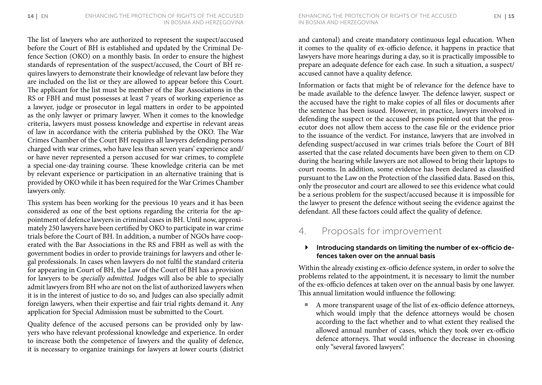The list of lawyers who are authorized to represent the suspect/accused before the Court of BH is established and updated by the Criminal Defence Section (OKO) on a monthly basis. In order to ensure the highest standards of representation of the suspect/accused, the Court of BH requires lawyers to demonstrate their knowledge of relevant law before they are included on the list or they are allowed to appear before this Court. The applicant for the list must be member of the Bar Associations in the RS or FBH and must possesses at least 7 years of working experience as a lawyer, judge or prosecutor in legal matters in order to be appointed as the only lawyer or primary lawyer. When it comes to the knowledge criteria, lawyers must possess knowledge and expertise in relevant areas of law in accordance with the criteria published by the OKO. The War Crimes Chamber of the Court BH requires all lawyers defending persons charged with war crimes, who have less than seven years' experience and/ or have never represented a person accused for war crimes, to complete a special one-day training course. These knowledge criteria can be met by relevant experience or participation in an alternative training that is provided by OKO while it has been required for the War Crimes Chamber lawyers only.

This system has been working for the previous 10 years and it has been considered as one of the best options regarding the criteria for the appointment of defence lawyers in criminal cases in BH. Until now, approximately 250 lawyers have been certified by OKO to participate in war crime trials before the Court of BH. In addition, a number of NGOs have cooperated with the Bar Associations in the RS and FBH as well as with the government bodies in order to provide trainings for lawyers and other legal professionals. In cases when lawyers do not fulfil the standard criteria for appearing in Court of BH, the Law of the Court of BH has a provision for lawyers to be *specially admitted.* Judges will also be able to specially admit lawyers from BH who are not on the list of authorized lawyers when it is in the interest of justice to do so, and Judges can also specially admit foreign lawyers, when their expertise and fair trial rights demand it. Any application for Special Admission must be submitted to the Court.

Quality defence of the accused persons can be provided only by lawyers who have relevant professional knowledge and experience. In order to increase both the competence of lawyers and the quality of defence, it is necessary to organize trainings for lawyers at lower courts (district in Bosnia and Herzegovina

and cantonal) and create mandatory continuous legal education. When it comes to the quality of ex-officio defence, it happens in practice that lawyers have more hearings during a day, so it is practically impossible to prepare an adequate defence for each case. In such a situation, a suspect/ accused cannot have a quality defence.

Information or facts that might be of relevance for the defence have to be made available to the defence lawyer. The defence lawyer, suspect or the accused have the right to make copies of all files or documents after the sentence has been issued. However, in practice, lawyers involved in defending the suspect or the accused persons pointed out that the prosecutor does not allow them access to the case file or the evidence prior to the issuance of the verdict. For instance, lawyers that are involved in defending suspect/accused in war crimes trials before the Court of BH asserted that the case related documents have been given to them on CD during the hearing while lawyers are not allowed to bring their laptops to court rooms. In addition, some evidence has been declared as classified pursuant to the Law on the Protection of the classified data. Based on this, only the prosecutor and court are allowed to see this evidence what could be a serious problem for the suspect/accused because it is impossible for the lawyer to present the defence without seeing the evidence against the defendant. All these factors could affect the quality of defence.

## 4. Proposals for improvement

#### $\blacktriangleright$  Introducing standards on limiting the number of ex-officio defences taken over on the annual basis

Within the already existing ex-officio defence system, in order to solve the problems related to the appointment, it is necessary to limit the number of the ex-officio defences at taken over on the annual basis by one lawyer. This annual limitation would influence the following:

■ A more transparent usage of the list of ex-officio defence attorneys, which would imply that the defence attorneys would be chosen according to the fact whether and to what extent they realised the allowed annual number of cases, which they took over ex-officio defence attorneys. That would influence the decrease in choosing only "several favored lawyers".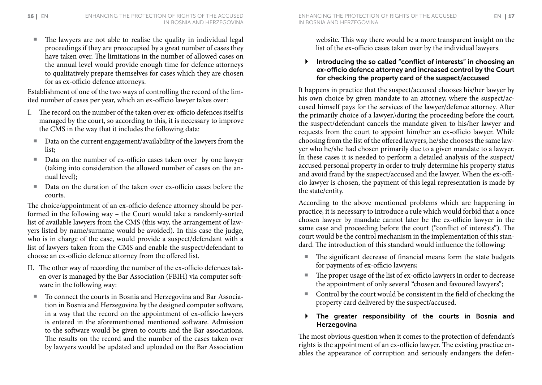The lawyers are not able to realise the quality in individual legal proceedings if they are preoccupied by a great number of cases they have taken over. The limitations in the number of allowed cases on the annual level would provide enough time for defence attorneys to qualitatively prepare themselves for cases which they are chosen for as ex-officio defence attorneys.

Establishment of one of the two ways of controlling the record of the limited number of cases per year, which an ex-officio lawyer takes over:

- I. The record on the number of the taken over ex-officio defences itself is managed by the court, so according to this, it is necessary to improve the CMS in the way that it includes the following data:
	- Data on the current engagement/availability of the lawyers from the list;
	- Data on the number of ex-officio cases taken over by one lawyer (taking into consideration the allowed number of cases on the annual level);
	- Data on the duration of the taken over ex-officio cases before the courts.

The choice/appointment of an ex-officio defence attorney should be performed in the following way – the Court would take a randomly-sorted list of available lawyers from the CMS (this way, the arrangement of lawyers listed by name/surname would be avoided). In this case the judge, who is in charge of the case, would provide a suspect/defendant with a list of lawyers taken from the CMS and enable the suspect/defendant to choose an ex-officio defence attorney from the offered list.

- II. The other way of recording the number of the ex-officio defences taken over is managed by the Bar Association (FBIH) via computer software in the following way:
	- To connect the courts in Bosnia and Herzegovina and Bar Association in Bosnia and Herzegovina by the designed computer software, in a way that the record on the appointment of ex-officio lawyers is entered in the aforementioned mentioned software. Admission to the software would be given to courts and the Bar associations. The results on the record and the number of the cases taken over by lawyers would be updated and uploaded on the Bar Association

website. This way there would be a more transparent insight on the list of the ex-officio cases taken over by the individual lawyers.

#### $\blacktriangleright$  Introducing the so called "conflict of interests" in choosing an ex-officio defence attorney and increased control by the Court for checking the property card of the suspect/accused

It happens in practice that the suspect/accused chooses his/her lawyer by his own choice by given mandate to an attorney, where the suspect/accused himself pays for the services of the lawyer/defence attorney. After the primarily choice of a lawyer,\during the proceeding before the court, the suspect/defendant cancels the mandate given to his/her lawyer and requests from the court to appoint him/her an ex-officio lawyer. While choosing from the list of the offered lawyers, he/she chooses the same lawyer who he/she had chosen primarily due to a given mandate to a lawyer. In these cases it is needed to perform a detailed analysis of the suspect/ accused personal property in order to truly determine his property status and avoid fraud by the suspect/accused and the lawyer. When the ex-officio lawyer is chosen, the payment of this legal representation is made by the state/entity.

According to the above mentioned problems which are happening in practice, it is necessary to introduce a rule which would forbid that a once chosen lawyer by mandate cannot later be the ex-officio lawyer in the same case and proceeding before the court ("conflict of interests"). The court would be the control mechanism in the implementation of this standard. The introduction of this standard would influence the following:

- ¡ The significant decrease of financial means form the state budgets for payments of ex-officio lawyers;
- ¡ The proper usage of the list of ex-officio lawyers in order to decrease the appointment of only several "chosen and favoured lawyers";
- Control by the court would be consistent in the field of checking the property card delivered by the suspect/accused.

#### $\triangleright$  The greater responsibility of the courts in Bosnia and Herzegovina

The most obvious question when it comes to the protection of defendant's rights is the appointment of an ex-officio lawyer. The existing practice enables the appearance of corruption and seriously endangers the defen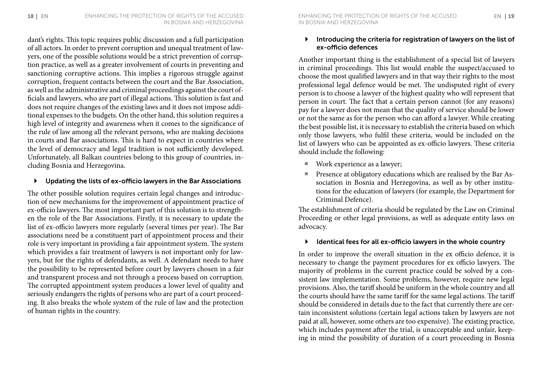dant's rights. This topic requires public discussion and a full participation of all actors. In order to prevent corruption and unequal treatment of lawyers, one of the possible solutions would be a strict prevention of corruption practice, as well as a greater involvement of courts in preventing and sanctioning corruptive actions. This implies a rigorous struggle against corruption, frequent contacts between the court and the Bar Association, as well as the administrative and criminal proceedings against the court officials and lawyers, who are part of illegal actions. This solution is fast and does not require changes of the existing laws and it does not impose additional expenses to the budgets. On the other hand, this solution requires a high level of integrity and awareness when it comes to the significance of the rule of law among all the relevant persons, who are making decisions in courts and Bar associations. This is hard to expect in countries where the level of democracy and legal tradition is not sufficiently developed. Unfortunately, all Balkan countries belong to this group of countries, including Bosnia and Herzegovina.

#### ` Updating the lists of ex-officio lawyers in the Bar Associations

The other possible solution requires certain legal changes and introduction of new mechanisms for the improvement of appointment practice of ex-officio lawyers. The most important part of this solution is to strengthen the role of the Bar Associations. Firstly, it is necessary to update the list of ex-officio lawyers more regularly (several times per year). The Bar associations need be a constituent part of appointment process and their role is very important in providing a fair appointment system. The system which provides a fair treatment of lawyers is not important only for lawyers, but for the rights of defendants, as well. A defendant needs to have the possibility to be represented before court by lawyers chosen in a fair and transparent process and not through a process based on corruption. The corrupted appointment system produces a lower level of quality and seriously endangers the rights of persons who are part of a court proceeding. It also breaks the whole system of the rule of law and the protection of human rights in the country.

#### Introducing the criteria for registration of lawyers on the list of ex-officio defences

Another important thing is the establishment of a special list of lawyers in criminal proceedings. This list would enable the suspect/accused to choose the most qualified lawyers and in that way their rights to the most professional legal defence would be met. The undisputed right of every person is to choose a lawyer of the highest quality who will represent that person in court. The fact that a certain person cannot (for any reasons) pay for a lawyer does not mean that the quality of service should be lower or not the same as for the person who can afford a lawyer. While creating the best possible list, it is necessary to establish the criteria based on which only those lawyers, who fulfil these criteria, would be included on the list of lawyers who can be appointed as ex-officio lawyers. These criteria should include the following:

- Work experience as a lawyer;
- **Presence at obligatory educations which are realised by the Bar As**sociation in Bosnia and Herzegovina, as well as by other institutions for the education of lawyers (for example, the Department for Criminal Defence).

The establishment of criteria should be regulated by the Law on Criminal Proceeding or other legal provisions, as well as adequate entity laws on advocacy.

#### Identical fees for all ex-officio lawyers in the whole country

In order to improve the overall situation in the ex officio defence, it is necessary to change the payment procedures for ex officio lawyers. The majority of problems in the current practice could be solved by a consistent law implementation. Some problems, however, require new legal provisions. Also, the tariff should be uniform in the whole country and all the courts should have the same tariff for the same legal actions. The tariff should be considered in details due to the fact that currently there are certain inconsistent solutions (certain legal actions taken by lawyers are not paid at all, however, some others are too expensive). The existing practice, which includes payment after the trial, is unacceptable and unfair, keeping in mind the possibility of duration of a court proceeding in Bosnia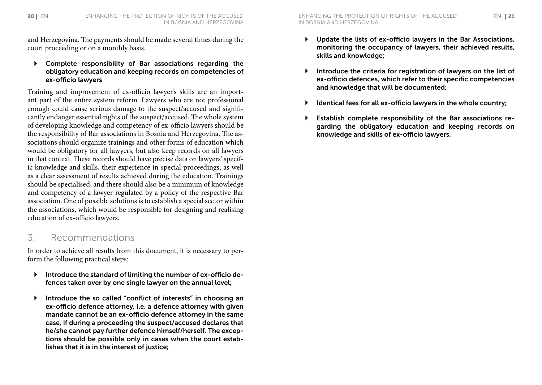and Herzegovina. The payments should be made several times during the court proceeding or on a monthly basis.

 $\triangleright$  Complete responsibility of Bar associations regarding the obligatory education and keeping records on competencies of ex-officio lawyers

Training and improvement of ex-officio lawyer's skills are an important part of the entire system reform. Lawyers who are not professional enough could cause serious damage to the suspect/accused and significantly endanger essential rights of the suspect/accused. The whole system of developing knowledge and competency of ex-officio lawyers should be the responsibility of Bar associations in Bosnia and Herzegovina. The associations should organize trainings and other forms of education which would be obligatory for all lawyers, but also keep records on all lawyers in that context. These records should have precise data on lawyers' specific knowledge and skills, their experience in special proceedings, as well as a clear assessment of results achieved during the education. Trainings should be specialised, and there should also be a minimum of knowledge and competency of a lawyer regulated by a policy of the respective Bar association. One of possible solutions is to establish a special sector within the associations, which would be responsible for designing and realising education of ex-officio lawyers.

### 3. Recommendations

In order to achieve all results from this document, it is necessary to perform the following practical steps:

- ` Introduce the standard of limiting the number of ex-officio defences taken over by one single lawyer on the annual level;
- ` Introduce the so called "conflict of interests" in choosing an ex-officio defence attorney, i.e. a defence attorney with given mandate cannot be an ex-officio defence attorney in the same case, if during a proceeding the suspect/accused declares that he/she cannot pay further defence himself/herself. The exceptions should be possible only in cases when the court establishes that it is in the interest of justice;
- $\triangleright$  Update the lists of ex-officio lawyers in the Bar Associations, monitoring the occupancy of lawyers, their achieved results, skills and knowledge;
- $\blacktriangleright$  Introduce the criteria for registration of lawyers on the list of ex-officio defences, which refer to their specific competencies and knowledge that will be documented;
- Identical fees for all ex-officio lawyers in the whole country;
- ` Establish complete responsibility of the Bar associations regarding the obligatory education and keeping records on knowledge and skills of ex-officio lawyers.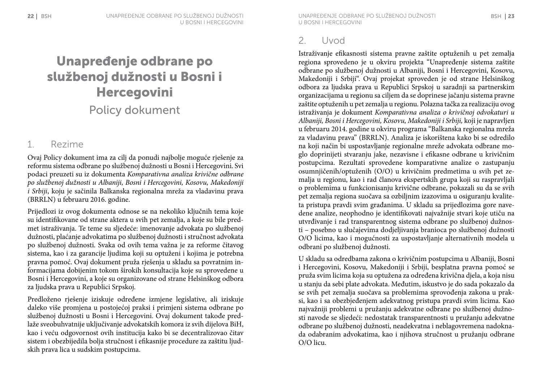## Unapređenje odbrane po službenoj dužnosti u Bosni i Hercegovini Policy dokument

## 1. Rezime

Ovaj Policy dokument ima za cilj da ponudi najbolje moguće rješenje za reformu sistema odbrane po službenoj dužnosti u Bosni i Hercegovini. Svi podaci preuzeti su iz dokumenta *Komparativna analiza krivične odbrane po službenoj dužnosti u Albaniji, Bosni i Hercegovini, Kosovu, Makedoniji i Srbiji*, koju je sačinila Balkanska regionalna mreža za vladavinu prava (BRRLN) u februaru 2016. godine.

Prijedlozi iz ovog dokumenta odnose se na nekoliko ključnih tema koje su identifikovane od strane aktera u svih pet zemalja, a koje su bile predmet istraživanja. Te teme su sljedeće: imenovanje advokata po službenoj dužnosti, plaćanje advokatima po službenoj dužnosti i stručnost advokata po službenoj dužnosti. Svaka od ovih tema važna je za reforme čitavog sistema, kao i za garancije ljudima koji su optuženi i kojima je potrebna pravna pomoć. Ovaj dokument pruža rješenja u skladu sa povratnim informacijama dobijenim tokom širokih konsultacija koje su sprovedene u Bosni i Hercegovini, a koje su organizovane od strane Helsinškog odbora za ljudska prava u Republici Srpskoj.

Predloženo rješenje iziskuje određene izmjene legislative, ali iziskuje daleko više promjena u postojećoj praksi i primjeni sistema odbrane po službenoj dužnosti u Bosni i Hercegovini. Ovaj dokument takođe predlaže sveobuhvatnije uključivanje advokatskih komora iz svih dijelova BiH, kao i veću odgovornost ovih institucija kako bi se decentralizovao čitav sistem i obezbijedila bolja stručnost i efikasnije procedure za zaštitu ljudskih prava lica u sudskim postupcima.

Istraživanje efikasnosti sistema pravne zaštite optuženih u pet zemalja regiona sprovedeno je u okviru projekta "Unapređenje sistema zaštite odbrane po službenoj dužnosti u Albaniji, Bosni i Hercegovini, Kosovu, Makedoniji i Srbiji". Ovaj projekat sproveden je od strane Helsinškog odbora za ljudska prava u Republici Srpskoj u saradnji sa partnerskim organizacijama u regionu sa ciljem da se doprinese jačanju sistema pravne zaštite optuženih u pet zemalja u regionu. Polazna tačka za realizaciju ovog istraživanja je dokument *Komparativna analiza o krivičnoj odvokaturi u Albaniji, Bosni i Hercegovini, Kosovu, Makedoniji i Srbiji,* koji je napravljen u februaru 2014. godine u okviru programa "Balkanska regionalna mreža za vladavinu prava" (BRRLN). Analiza je iskorištena kako bi se odredilo na koji način bi uspostavljanje regionalne mreže advokata odbrane moglo doprinijeti stvaranju jake, nezavisne i efikasne odbrane u krivičnim postupcima. Rezultati sprovedene komparativne analize o zastupanju osumnjičenih/optuženih (O/O) u krivičnim predmetima u svih pet zemalja u regionu, kao i rad članova ekspertskih grupa koji su raspravljali o problemima u funkcionisanju krivične odbrane, pokazali su da se svih pet zemalja regiona suočava sa ozbiljnim izazovima u osiguranju kvaliteta pristupa pravdi svim građanima. U skladu sa prijedlozima gore navedene analize, neophodno je identifikovati najvažnije stvari koje utiču na utvrđivanje i rad transparentnog sistema odbrane po službenoj dužnosti – posebno u slučajevima dodjeljivanja branioca po službenoj dužnosti O/O licima, kao i mogućnosti za uspostavljanje alternativnih modela u odbrani po službenoj dužnosti.

U skladu sa odredbama zakona o krivičnim postupcima u Albaniji, Bosni i Hercegovini, Kosovu, Makedoniji i Srbiji, besplatna pravna pomoć se pruža svim licima koja su optužena za određena krivična djela, a koja nisu u stanju da sebi plate advokata. Međutim, iskustvo je do sada pokazalo da se svih pet zemalja suočava sa problemima sprovođenja zakona u praksi, kao i sa obezbjeđenjem adekvatnog pristupa pravdi svim licima. Kao najvažniji problemi u pružanju adekvatne odbrane po službenoj dužnosti navode se sljedeći: nedostatak transparentnosti u pružanju adekvatne odbrane po službenoj dužnosti, neadekvatna i neblagovremena nadoknada odabranim advokatima, kao i njihova stručnost u pružanju odbrane O/O licu.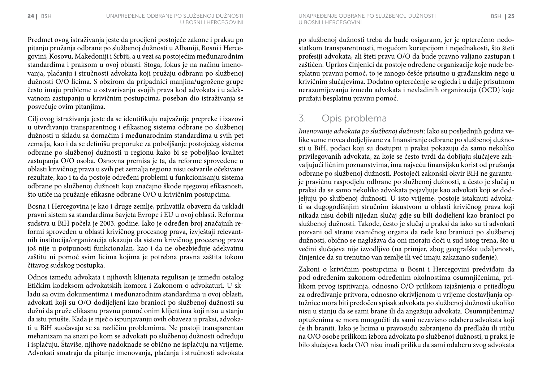Predmet ovog istraživanja jeste da procijeni postojeće zakone i praksu po pitanju pružanja odbrane po službenoj dužnosti u Albaniji, Bosni i Hercegovini, Kosovu, Makedoniji i Srbiji, a u vezi sa postojećim međunarodnim standardima i praksom u ovoj oblasti. Stoga, fokus je na načinu imenovanja, plaćanju i stručnosti advokata koji pružaju odbranu po službenoj dužnosti O/O licima. S obzirom da pripadnici manjina/ugrožene grupe često imaju probleme u ostvarivanju svojih prava kod advokata i u adekvatnom zastupanju u krivičnim postupcima, poseban dio istraživanja se posvećuje ovim pitanjima.

Cilj ovog istraživanja jeste da se identifikuju najvažnije prepreke i izazovi u utvrđivanju transparentnog i efikasnog sistema odbrane po službenoj dužnosti u skladu sa domaćim i međunarodnim standardima u svih pet zemalja, kao i da se definišu preporuke za poboljšanje postojećeg sistema odbrane po službenoj dužnosti u regionu kako bi se poboljšao kvalitet zastupanja O/O osoba. Osnovna premisa je ta, da reforme sprovedene u oblasti krivičnog prava u svih pet zemalja regiona nisu ostvarile očekivane rezultate, kao i ta da postoje određeni problemi u funkcionisanju sistema odbrane po službenoj dužnosti koji značajno škode njegovoj efikasnosti, što utiče na pružanje efikasne odbrane O/O u krivičnim postupcima.

Bosna i Hercegovina je kao i druge zemlje, prihvatila obavezu da uskladi pravni sistem sa standardima Savjeta Evrope i EU u ovoj oblasti. Reforma sudstva u BiH počela je 2003. godine. Iako je određen broj značajnih reformi sproveden u oblasti krivičnog procesnog prava, izvještaji relevantnih institucija/organizacija ukazuju da sistem krivičnog procesnog prava još nije u potpunosti funkcionalan, kao i da ne obezbjeđuje adekvatnu zaštitu ni pomoć svim licima kojima je potrebna pravna zaštita tokom čitavog sudskog postupka.

Odnos između advokata i njihovih klijenata regulisan je između ostalog Etičkim kodeksom advokatskih komora i Zakonom o advokaturi. U skladu sa ovim dokumentima i međunarodnim standardima u ovoj oblasti, advokati koji su O/O dodijeljeni kao branioci po službenoj dužnosti su dužni da pruže efikasnu pravnu pomoć onim klijentima koji nisu u stanju da istu priušte. Kada je riječ o ispunjavanju ovih obaveza u praksi, advokati u BiH suočavaju se sa različim problemima. Ne postoji transparentan mehanizam na snazi po kom se advokati po službenoj dužnosti određuju i isplaćuju. Štaviše, njihove nadoknade se obično ne isplaćuju na vrijeme. Advokati smatraju da pitanje imenovanja, plaćanja i stručnosti advokata

24 BSH Unapređenje odbrane po službenoj dužnosti BSH 25 Unapređenje odbrane po službenoj dužnosti u Bosni i Hercegovini

> po službenoj dužnosti treba da bude osigurano, jer je opterećeno nedostatkom transparentnosti, mogućom korupcijom i nejednakosti, što šteti profesiji advokata, ali šteti pravu O/O da bude pravno valjano zastupan i zaštićen. Uprkos činjenici da postoje određene organizacije koje nude besplatnu pravnu pomoć, to je mnogo češće prisutno u građanskim nego u krivičnim slučajevima. Dodatno opterećenje se ogleda i u dalje prisutnom nerazumijevanju između advokata i nevladinih organizacija (OCD) koje pružaju besplatnu pravnu pomoć.

## 3. Opis problema

*Imenovanje advokata po službenoj dužnosti*: Iako su posljednjih godina velike sume novca dodjeljivane za finansiranje odbrane po službenoj dužnosti u BiH, podaci koji su dostupni u praksi pokazuju da samo nekoliko privilegovanih advokata, za koje se često tvrdi da dobijaju slučajeve zahvaljujući ličnim poznanstvima, ima najveću finansijsku korist od pružanja odbrane po službenoj dužnosti. Postojeći zakonski okvir BiH ne garantuje pravičnu raspodjelu odbrane po službenoj dužnosti, a često je slučaj u praksi da se samo nekoliko advokata pojavljuje kao advokati koji se dodjeljuju po službenoj dužnosti. U isto vrijeme, postoje istaknuti advokati sa dugogodišnjim stručnim iskustvom u oblasti krivičnog prava koji nikada nisu dobili nijedan slučaj gdje su bili dodjeljeni kao branioci po službenoj dužnosti. Takođe, često je slučaj u praksi da iako su ti advokati pozvani od strane zvaničnog organa da rade kao branioci po službenoj dužnosti, obično se naglašava da oni moraju doći u sud istog trena, što u većini slučajeva nije izvodljivo (na primjer, zbog geografske udaljenosti, činjenice da su trenutno van zemlje ili već imaju zakazano suđenje).

Zakoni o krivičnim postupcima u Bosni i Hercegovini predviđaju da pod određenim zakonom određenim okolnostima osumnjičenima, prilikom prvog ispitivanja, odnosno O/O prilikom izjašnjenja o prijedlogu za određivanje pritvora, odnosno okrivljenom u vrijeme dostavljanja optužnice mora biti predočen spisak advokata po službenoj dužnosti ukoliko nisu u stanju da se sami brane ili da angažuju advokata. Osumnjičenima/ optuženima se mora omogućiti da sami nezavisno odaberu advokata koji će ih braniti. Iako je licima u pravosuđu zabranjeno da predlažu ili utiču na O/O osobe prilikom izbora advokata po službenoj dužnosti, u praksi je bilo slučajeva kada O/O nisu imali priliku da sami odaberu svog advokata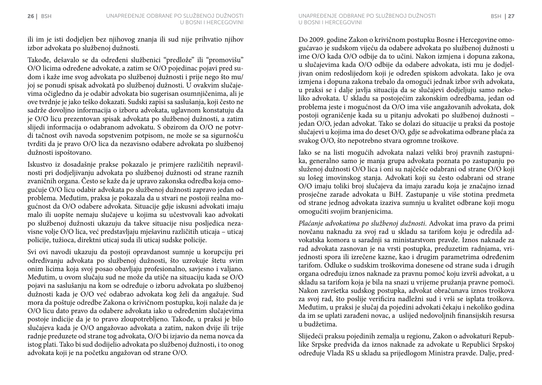ili im je isti dodjeljen bez njihovog znanja ili sud nije prihvatio njihov izbor advokata po službenoj dužnosti.

Takođe, dešavalo se da određeni službenici "predlože" ili "promovišu" O/O licima određene advokate, a zatim se O/O pojedinac pojavi pred sudom i kaže ime svog advokata po službenoj dužnosti i prije nego što mu/ joj se ponudi spisak advokatâ po službenoj dužnosti. U ovakvim slučajevima očigledno da je odabir advokata bio sugerisan osumnjičenima, ali je ove tvrdnje je jako teško dokazati. Sudski zapisi sa saslušanja, koji često ne sadrže dovoljno informacija o izboru advokata, uglavnom konstatuju da je O/O licu prezentovan spisak advokata po službenoj dužnosti, a zatim slijedi informacija o odabranom advokatu. S obzirom da O/O ne potvrdi tačnost ovih navoda sopstvenim potpisom, ne može se sa sigurnošću tvrditi da je pravo O/O lica da nezavisno odabere advokata po službenoj dužnosti ispoštovano.

Iskustvo iz dosadašnje prakse pokazalo je primjere različitih nepravilnosti pri dodjeljivanju advokata po službenoj dužnosti od strane raznih zvaničnih organa. Često se kaže da je upravo zakonska odredba koja omogućuje O/O licu odabir advokata po službenoj dužnosti zapravo jedan od problema. Međutim, praksa je pokazala da u stvari ne postoji realna mogućnost da O/O odabere advokata. Situacije gdje iskusni advokati imaju malo ili uopšte nemaju slučajeve u kojima su učestvovali kao advokati po službenoj dužnosti ukazuju da takve situacije nisu posljedica nezavisne volje O/O lica, već predstavljaju mješavinu različitih uticaja – uticaj policije, tužioca, direktni uticaj suda ili uticaj sudske policije.

Svi ovi navodi ukazuju da postoji opravdanost sumnje u korupciju pri određivanju advokata po službenoj dužnosti, što uzrokuje štetu svim onim licima koja svoj posao obavljaju profesionalno, savjesno i valjano. Međutim, u ovom slučaju sud ne može da utiče na situaciju kada se O/O pojavi na saslušanju na kom se određuje o izboru advokata po službenoj dužnosti kada je O/O već odabrao advokata kog želi da angažuje. Sud mora da poštuje odredbe Zakona o krivičnom postupku, koji nalaže da je O/O licu dato pravo da odabere advokata iako u određenim slučajevima postoje indicije da je to pravo zloupotrebljeno. Takođe, u praksi je bilo slučajeva kada je O/O angažovao advokata a zatim, nakon dvije ili trije radnje preduzete od strane tog advokata, O/O bi izjavio da nema novca da istog plati. Tako bi sud dodijelio advokata po službenoj dužnosti, i to onog advokata koji je na početku angažovan od strane O/O.

Do 2009. godine Zakon o krivičnom postupku Bosne i Hercegovine omogućavao je sudskom vijeću da odabere advokata po službenoj dužnosti u ime O/O kada O/O odbije da to učini. Nakon izmjena i dopuna zakona, u slučajevima kada O/O odbije da odabere advokata, isti mu je dodjeljivan onim redoslijedom koji je određen spiskom advokata. Iako je ova izmjena i dopuna zakona trebalo da omogući jednak izbor svih advokata, u praksi se i dalje javlja situacija da se slučajevi dodjeljuju samo nekoliko advokata. U skladu sa postojećim zakonskim odredbama, jedan od problema jeste i mogućnost da O/O ima više angažovanih advokata, dok postoji ograničenje kada su u pitanju advokati po službenoj dužnosti – jedan O/O, jedan advokat. Tako se dolazi do situacije u praksi da postoje slučajevi u kojima ima do deset O/O, gdje se advokatima odbrane plaća za svakog O/O, što nepotrebno stvara ogromne troškove.

Iako se na listi mogućih advokata nalazi veliki broj pravnih zastupnika, generalno samo je manja grupa advokata poznata po zastupanju po služenoj dužnosti O/O lica i oni su najčešće odabrani od strane O/O koji su lošeg imovinskog stanja. Advokati koji su često odabrani od strane O/O imaju toliki broj slučajeva da imaju zaradu koja je značajno iznad prosječne zarade advokata u BiH. Zastupanje u više stotina predmeta od strane jednog advokata izaziva sumnju u kvalitet odbrane koji mogu omogućiti svojim branjenicima.

*Plaćanje advokatima po službenoj dužnosti*. Advokat ima pravo da primi novčanu naknadu za svoj rad u skladu sa tarifom koju je odredila advokatska komora u saradnji sa ministarstvom pravde. Iznos naknade za rad advokata zasnovan je na vrsti postupka, preduzetim radnjama, vrijednosti spora ili izrečene kazne, kao i drugim parametrima određenim tarifom. Odluke o sudskim troškovima donesene od strane suda i drugih organa određuju iznos naknade za pravnu pomoć koju izvrši advokat, a u skladu sa tarifom koja je bila na snazi u vrijeme pružanja pravne pomoći. Nakon završetka sudskog postupka, advokat obračunava iznos troškova za svoj rad, što poslije verificira nadležni sud i vrši se isplata troškova. Međutim, u praksi je slučaj da pojedini advokati čekaju i nekoliko godina da im se uplati zarađeni novac, a uslijed nedovoljnih finansijskih resursa u budžetima.

Slijedeći praksu pojedinih zemalja u regionu, Zakon o advokaturi Republike Srpske predviđa da iznos naknade za advokate u Republici Srpskoj određuje Vlada RS u skladu sa prijedlogom Ministra pravde. Dalje, pred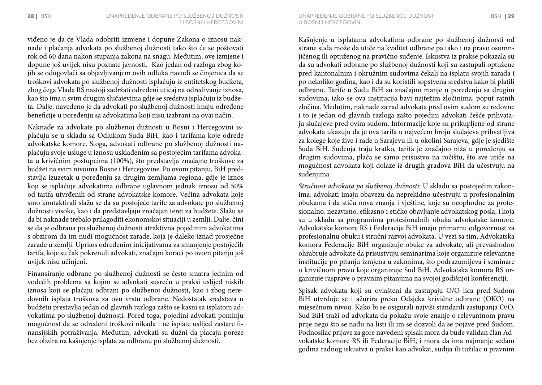viđeno je da će Vlada odobriti izmjene i dopune Zakona o iznosu naknade i plaćanja advokata po službenoj dužnosti tako što će se poštovati rok od 60 dana nakon stupanja zakona na snagu. Međutim, ove izmjene i dopune još uvijek nisu poznate javnosti. Kao jedan od razloga zbog kojih se odugovlači sa objavljivanjem ovih odluka navodi se činjenica da se troškovi advokata po službenoj dužnosti isplaćuju iz entitetskog budžeta, zbog čega Vlada RS nastoji zadržati određeni uticaj na određivanje iznosa, kao što ima u svim drugim slučajevima gdje se sredstva isplaćuju iz budžeta. Dalje, navedeno je da advokati po službenoj dužnosti imaju određene beneficije u poređenju sa advokatima koji nisu izabrani na ovaj način.

Naknade za advokate po službenoj dužnosti u Bosni i Hercegovini isplaćuju se u skladu sa Odlukom Suda BiH, kao i tarifama koje odrede advokatske komore. Stoga, advokati odbrane po službenoj dužnosti naplaćuju svoje usluge u iznosu usklađenim sa postojećim tarifama advokata u krivičnim postupcima (100%), što predstavlja značajne troškove za budžet na svim nivoima Bosne i Hercegovine. Po ovom pitanju, BiH predstavlja izuzetak u poređenju sa drugim zemljama regiona, gdje je iznos koji se isplaćuje advokatima odbrane uglavnom jednak iznosu od 50% od tarifa utvrđenih od strane advokatske komore. Većina advokata koje smo kontaktirali slažu se da su postojeće tarife za advokate po službenoj dužnosti visoke, kao i da predstavljaju značajan teret za budžete. Slažu se da bi naknade trebalo prilagoditi ekonomskoj situaciji u zemlji. Dalje, čini se da je odbrana po službenoj dužnosti atraktivna pojedinim advokatima s obzirom da im nudi mogućnost zarade, koja je daleko iznad prosječne zarade u zemlji. Uprkos određenim inicijativama za smanjenje postojećih tarifa, koje su čak pokrenuli advokati, značajni koraci po ovom pitanju još uvijek nisu učinjeni.

Finansiranje odbrane po službenoj dužnosti se često smatra jednim od vodećih problema sa kojim se advokati susreću u praksi uslijed niskih iznosa koji se plaćaju odbrani po službenoj dužnosti, kao i zbog neredovnih isplata troškova za ovu vrstu odbrane. Nedostatak sredstava u budžetu prestavlja jedan od glavnih razloga zašto se kasni sa isplatom advokatima po službenoj dužnosti. Pored toga, pojedini advokati pominju mogućnost da se određeni troškovi nikada i ne isplate uslijed zastare finansijskih potraživanja. Međutim, advokati su dužni da plaćaju poreze bez obzira na kašnjenje isplata za odbranu po službenoj dužnosti.

Kašnjenje u isplatama advokatima odbrane po službenoj dužnosti od strane suda može da utiče na kvalitet odbrane pa tako i na pravo osumnjičenog ili optuženog na pravično suđenje. Iskustva iz prakse pokazala su da su advokati odbrane po službenoj dužnosti koji su zastupali optužene pred kantonalnim i okružnim sudovima čekali na isplatu svojih zarada i po nekoliko godina, kao i da su koristili sopstvena sredstva kako bi platili odbranu. Tarife u Sudu BiH su značajno manje u poređenju sa drugim sudovima, iako se ova institucija bavi najtežim zločinima, poput ratnih zločina. Međutim, naknade za rad advokata pred ovim sudom su redovne i to je jedan od glavnih razloga zašto pojedini advokati češće prihvataju slučajeve pred ovim sudom. Informacije koje su prikupljene od strane advokata ukazuju da je ova tarifa u najvećem broju slučajeva prihvatljiva za kolege koje žive i rade u Sarajevu ili u okolini Sarajeva, gdje je sjedište Suda BiH. Suđenja traju kratko, tarifa je značajno niža u poređenju sa drugim sudovima, plaća se samo prisustvo na ročištu, što sve utiče na mogućnost advokata koji dolaze iz drugih gradova BiH da učestvuju na suđenjima.

*Stručnost advokata po službenoj dužnosti*: U skladu sa postojećim zakonima, advokati imaju obavezu da neprekidno učestvuju u profesionalnim obukama i da stiču nova znanja i vještine, koje su neophodne za profesionalno, nezavisno, efikasno i etičko obavljanje advokatskog posla, i koja su u skladu sa programima profesionalnih obuka advokatske komore. Advokatske komore RS i Federacije BiH imaju primarnu odgovornost za profesionalnu obuku i stručni razvoj advokata. U vezi sa tim, Advokatska komora Federacije BiH organizuje obuke za advokate, ali prevashodno ohrabruje advokate da prisustvuju seminarima koje organizuje relevantne institucije po pitanju izmjena u zakonima, što podrazumijeva i seminare o krivičnom pravu koje organizuje Sud BiH. Advokatska komora RS organizuje rasprave o pravnim pitanjima na svojoj godišnjoj konferenciji.

Spisak advokata koji su ovlašteni da zastupaju O/O lica pred Sudom BiH utvrđuje se i ažurira preko Odsjeka krivične odbrane (OKO) na mjesečnom nivou. Kako bi se osigurali najviši standardi zastupanja O/O, Sud BiH traži od advokata da pokažu svoje znanje o relevantnom pravu prije nego što se nađu na listi ili im se dozvoli da se pojave pred Sudom. Podnosilac prijave za gore navedeni spisak mora da bude validan član Advokatske komore RS ili Federacije BiH, i mora da ima najmanje sedam godina radnog iskustva u praksi kao advokat, sudija ili tužilac u pravnim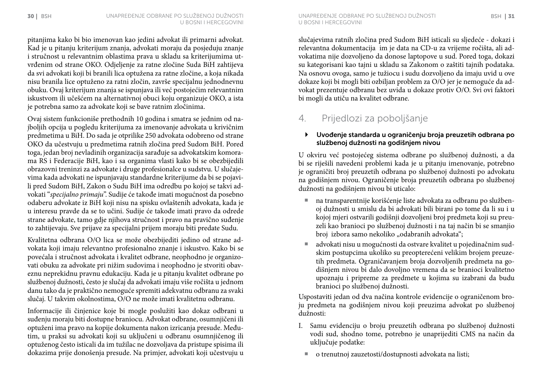pitanjima kako bi bio imenovan kao jedini advokat ili primarni advokat. Kad je u pitanju kriterijum znanja, advokati moraju da posjeduju znanje i stručnost u relevantnim oblastima prava u skladu sa kriterijumima utvrđenim od strane OKO. Odjeljenje za ratne zločine Suda BiH zahtijeva da svi advokati koji bi branili lica optužena za ratne zločine, a koja nikada nisu branila lice optuženo za ratni zločin, završe specijalnu jednodnevnu obuku. Ovaj kriterijum znanja se ispunjava ili već postojećim relevantnim iskustvom ili učešćem na alternativnoj obuci koju organizuje OKO, a ista je potrebna samo za advokate koji se bave ratnim zločinima.

Ovaj sistem funkcioniše prethodnih 10 godina i smatra se jednim od najboljih opcija u pogledu kriterijuma za imenovanje advokata u krivičnim predmetima u BiH. Do sada je otprilike 250 advokata odobreno od strane OKO da učestvuju u predmetima ratnih zločina pred Sudom BiH. Pored toga, jedan broj nevladinih organizacija sarađuje sa advokatskim komorama RS i Federacije BiH, kao i sa organima vlasti kako bi se obezbijedili obrazovni treninzi za advokate i druge profesionalce u sudstvu. U slučajevima kada advokati ne ispunjavaju standardne kriterijume da bi se pojavili pred Sudom BiH, Zakon o Sudu BiH ima odredbu po kojoj se takvi advokati "*specijalno primaju*". Sudije će takođe imati mogućnost da posebno odaberu advokate iz BiH koji nisu na spisku ovlaštenih advokata, kada je u interesu pravde da se to učini. Sudije će takođe imati pravo da odrede strane advokate, tamo gdje njihova stručnost i pravo na pravično suđenje to zahtijevaju. Sve prijave za specijalni prijem moraju biti predate Sudu.

Kvalitetna odbrana O/O lica se može obezbijediti jedino od strane advokata koji imaju relevantno profesionalno znanje i iskustvo. Kako bi se povećala i stručnost advokata i kvalitet odbrane, neophodno je organizovati obuku za advokate pri nižim sudovima i neophodno je stvoriti obaveznu neprekidnu pravnu edukaciju. Kada je u pitanju kvalitet odbrane po službenoj dužnosti, često je slučaj da advokati imaju više ročišta u jednom danu tako da je praktično nemoguće spremiti adekvatnu odbranu za svaki slučaj. U takvim okolnostima, O/O ne može imati kvalitetnu odbranu.

Informacije ili činjenice koje bi mogle poslužiti kao dokaz odbrani u suđenju moraju biti dostupne braniocu. Advokat odbrane, osumnjičeni ili optuženi ima pravo na kopije dokumenta nakon izricanja presude. Međutim, u praksi su advokati koji su uključeni u odbranu osumnjičenog ili optuženog često isticali da im tužilac ne dozvoljava da pristupe spisima ili dokazima prije donošenja presude. Na primjer, advokati koji učestvuju u

u Bosni i Hercegovini

slučajevima ratnih zločina pred Sudom BiH isticali su sljedeće - dokazi i relevantna dokumentacija im je data na CD-u za vrijeme ročišta, ali advokatima nije dozvoljeno da donose laptopove u sud. Pored toga, dokazi su kategorisani kao tajni u skladu sa Zakonom o zaštiti tajnih podataka. Na osnovu ovoga, samo je tužiocu i sudu dozvoljeno da imaju uvid u ove dokaze koji bi mogli biti ozbiljan problem za O/O jer je nemoguće da advokat prezentuje odbranu bez uvida u dokaze protiv O/O. Svi ovi faktori bi mogli da utiču na kvalitet odbrane.

## 4. Prijedlozi za poboljšanje

#### ` Uvođenje standarda u ograničenju broja preuzetih odbrana po službenoj dužnosti na godišnjem nivou

U okviru već postojećeg sistema odbrane po službenoj dužnosti, a da bi se riješili navedeni problemi kada je u pitanju imenovanje, potrebno je ograničiti broj preuzetih odbrana po službenoj dužnosti po advokatu na godišnjem nivou. Ograničenje broja preuzetih odbrana po službenoj dužnosti na godišnjem nivou bi uticalo:

- ¡ na transparentnije korišćenje liste advokata za odbranu po službenoj dužnosti u smislu da bi advokati bili birani po tome da li su i u kojoj mjeri ostvarili godišnji dozvoljeni broj predmeta koji su preuzeli kao branioci po službenoj dužnosti i na taj način bi se smanjio broj izbora samo nekoliko "odabranih advokata";
- advokati nisu u mogućnosti da ostvare kvalitet u pojedinačnim sudskim postupcima ukoliko su preopterećeni velikim brojem preuzetih predmeta. Ograničavanjem broja dozvoljenih predmeta na godišnjem nivou bi dalo dovoljno vremena da se branioci kvalitetno upoznaju i pripreme za predmete u kojima su izabrani da budu branioci po službenoj dužnosti.

Uspostaviti jedan od dva načina kontrole evidencije o ograničenom broju predmeta na godišnjem nivou koji preuzima advokat po službenoj dužnosti:

- I. Samu evidenciju o broju preuzetih odbrana po službenoj dužnosti vodi sud, shodno tome, potrebno je unaprijediti CMS na način da uključuje podatke:
	- ¡ o trenutnoj zauzetosti/dostupnosti advokata na listi;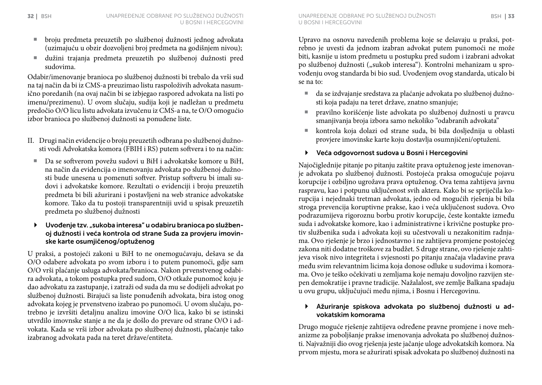- ¡ broju predmeta preuzetih po službenoj dužnosti jednog advokata (uzimajuću u obzir dozvoljeni broj predmeta na godišnjem nivou);
- ¡ dužini trajanja predmeta preuzetih po službenoj dužnosti pred sudovima.

Odabir/imenovanje branioca po službenoj dužnosti bi trebalo da vrši sud na taj način da bi iz CMS-a preuzimao listu raspoloživih advokata nasumično poredanih (na ovaj način bi se izbjegao raspored advokata na listi po imenu/prezimenu). U ovom slučaju, sudija koji je nadležan u predmetu predočio O/O licu listu advokata izvučenu iz CMS-a na, te O/O omogućio izbor branioca po službenoj dužnosti sa ponuđene liste.

- II. Drugi način evidencije o broju preuzetih odbrana po službenoj dužnosti vodi Advokatska komora (FBIH i RS) putem softvera i to na način:
	- ¡ Da se softverom povežu sudovi u BiH i advokatske komore u BiH, na način da evidencija o imenovanju advokata po službenoj dužnosti bude unesena u pomenuti softver. Pristup softveru bi imali sudovi i advokatske komore. Rezultati o evidenciji i broju preuzetih predmeta bi bili ažurirani i postavljeni na web stranice advokatske komore. Tako da tu postoji transparentniji uvid u spisak preuzetih predmeta po službenoj dužnosti
- $\blacktriangleright$  Uvođenje tzv. "sukoba interesa" u odabiru branioca po službenoj dužnosti i veća kontrola od strane Suda za provjeru imovinske karte osumjičenog/optuženog

U praksi, a postojeći zakoni u BiH to ne onemogućavaju, dešava se da O/O odabere advokata po svom izboru i to putem punomoći, gdje sam O/O vrši plaćanje usluga advokata/branioca. Nakon prvenstvenog odabira advokata, a tokom postupka pred sudom, O/O otkaže punomoć koju je dao advokatu za zastupanje, i zatraži od suda da mu se dodijeli advokat po službenoj dužnosti. Birajući sa liste ponuđenih advokata, bira istog onog advokata kojeg je prvenstveno izabrao po punomoći. U ovom slučaju, potrebno je izvršiti detaljnu analizu imovine O/O lica, kako bi se istinski utvrdilo imovnske stanje a ne da je došlo do prevare od strane O/O i advokata. Kada se vrši izbor advokata po službenoj dužnosti, plaćanje tako izabranog advokata pada na teret države/entiteta.

u Bosni i Hercegovini

Upravo na osnovu navedenih problema koje se dešavaju u praksi, potrebno je uvesti da jednom izabran advokat putem punomoći ne može biti, kasnije u istom predmetu u postupku pred sudom i izabrani advokat po službenoj dužnosti ("sukob interesa"). Kontrolni mehanizam u sprovođenju ovog standarda bi bio sud. Uvođenjem ovog standarda, uticalo bi se na to:

- ¡ da se izdvajanje sredstava za plaćanje advokata po službenoj dužnosti koja padaju na teret države, znatno smanjuje;
- ¡ pravilno korišćenje liste advokata po službenoj dužnosti u pravcu smanjivanja broja izbora samo nekoliko "odabranih advokata"
- ¡ kontrola koja dolazi od strane suda, bi bila dosljednija u oblasti provjere imovinske karte koju dostavlja osumnjičeni/optuženi.

#### ` Veća odgovornost sudova u Bosni i Hercegovini

Najočiglednije pitanje po pitanju zaštite prava optuženog jeste imenovanje advokata po službenoj dužnosti. Postojeća praksa omogućuje pojavu korupcije i ozbiljno ugrožava prava optuženog. Ova tema zahtijeva javnu raspravu, kao i potpunu uključenost svih aktera. Kako bi se spriječila korupcija i nejednaki tretman advokata, jedno od mogućih rješenja bi bila stroga prevencija koruptivne prakse, kao i veća uključenost sudova. Ovo podrazumijeva rigoroznu borbu protiv korupcije, česte kontakte između suda i advokatske komore, kao i administrativne i krivične postupke protiv službenika suda i advokata koji su učestvovali u nezakonitim radnjama. Ovo rješenje je brzo i jednostavno i ne zahtijeva promjene postojećeg zakona niti dodatne troškove za budžet. S druge strane, ovo rješenje zahtijeva visok nivo integriteta i svjesnosti po pitanju značaja vladavine prava među svim relevantnim licima koja donose odluke u sudovima i komorama. Ovo je teško očekivati u zemljama koje nemaju dovoljno razvijen stepen demokratije i pravne tradicije. Nažalalost, sve zemlje Balkana spadaju u ovu grupu, uključujući među njima, i Bosnu i Hercegovinu.

#### ` Ažuriranje spiskova advokata po službenoj dužnosti u advokatskim komorama

Drugo moguće rješenje zahtijeva određene pravne promjene i nove mehanizme za poboljšanje prakse imenovanja advokata po službenoj dužnosti. Najvažniji dio ovog rješenja jeste jačanje uloge advokatskih komora. Na prvom mjestu, mora se ažurirati spisak advokata po službenoj dužnosti na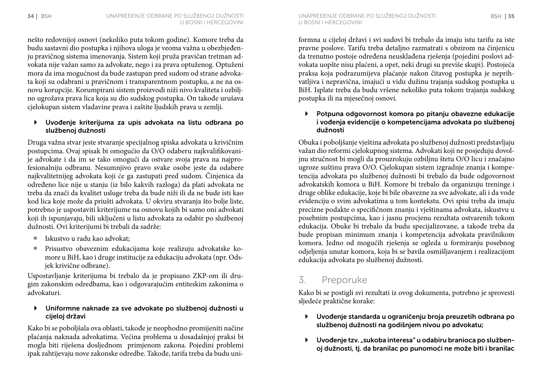nešto redovnijoj osnovi (nekoliko puta tokom godine). Komore treba da budu sastavni dio postupka i njihova uloga je veoma važna u obezbjeđenju pravičnog sistema imenovanja. Sistem koji pruža pravičan tretman advokata nije važan samo za advokate, nego i za prava optuženog. Optuženi mora da ima mogućnost da bude zastupan pred sudom od strane advokata koji su odabrani u pravičnom i transparentnom postupku, a ne na osnovu korupcije. Korumpirani sistem proizvodi niži nivo kvaliteta i ozbiljno ugrožava prava lica koja su dio sudskog postupka. On takođe urušava cjelokupan sistem vladavine prava i zaštite ljudskih prava u zemlji.

#### ` Uvođenje kriterijuma za upis advokata na listu odbrana po službenoj dužnosti

Druga važna stvar jeste stvaranje specijalnog spiska advokata u krivičnim postupcima. Ovaj spisak bi omogućio da O/O odaberu najkvalifikovanije advokate i da im se tako omogući da ostvare svoja prava na najprofesionalniju odbranu. Nesumnjivo pravo svake osobe jeste da odabere najkvalitetnijeg advokata koji će ga zastupati pred sudom. Činjenica da određeno lice nije u stanju (iz bilo kakvih razloga) da plati advokata ne treba da znači da kvalitet usluge treba da bude niži ili da ne bude isti kao kod lica koje može da priušti advokata. U okviru stvaranja što bolje liste, potrebno je uspostaviti kriterijume na osnovu kojih bi samo oni advokati koji ih ispunjavaju, bili uključeni u listu advokata za odabir po službenoj dužnosti. Ovi kriterijumi bi trebali da sadrže:

- $\blacksquare$  Iskustvo u radu kao advokat:
- ¡ Prisustvo obaveznim edukacijama koje realizuju advokatske komore u BiH, kao i druge institucije za edukaciju advokata (npr. Odsjek krivične odbrane).

Uspostavljanje kriterijuma bi trebalo da je propisano ZKP-om ili drugim zakonskim odredbama, kao i odgovarajućim entiteskim zakonima o advokaturi.

#### ` Uniformne naknade za sve advokate po službenoj dužnosti u cijeloj državi

Kako bi se poboljšala ova oblasti, takođe je neophodno promijeniti načine plaćanja naknada advokatima. Većina problema u dosadašnjoj praksi bi mogla biti riješena dosljednom primjenom zakona. Pojedini problemi ipak zahtijevaju nove zakonske odredbe. Takođe, tarifa treba da budu uniu Bosni i Hercegovini

formna u cijeloj državi i svi sudovi bi trebalo da imaju istu tarifu za iste pravne poslove. Tarifu treba detaljno razmatrati s obzirom na činjenicu da trenutno postoje određena neusklađena rješenja (pojedini poslovi advokata uopšte nisu plaćeni, a opet, neki drugi su previše skupi). Postojeća praksa koja podrazumijeva plaćanje nakon čitavog postupka je neprihvatljiva i nepravična, imajući u vidu dužinu trajanja sudskog postupka u BiH. Isplate treba da budu vršene nekoliko puta tokom trajanja sudskog postupka ili na mjesečnoj osnovi.

#### ` Potpuna odgovornost komora po pitanju obavezne edukacije i vođenja evidencije o kompetencijama advokata po službenoj dužnosti

Obuka i poboljšanje vještina advokata po službenoj dužnosti predstavljaju važan dio reformi cjelokupnog sistema. Advokati koji ne posjeduju dovoljnu stručnost bi mogli da prouzrokuju ozbiljnu štetu O/O licu i značajno ugroze suštinu prava O/O. Cjelokupan sistem izgradnje znanja i kompetencija advokata po službenoj dužnosti bi trebalo da bude odgovornost advokatskih komora u BiH. Komore bi trebalo da organizuju treninge i druge oblike edukacije, koje bi bile obavezne za sve advokate, ali i da vode evidenciju o svim advokatima u tom kontekstu. Ovi spisi treba da imaju precizne podakte o specifičnom znanju i vještinama advokata, iskustvu u posebnim postupcima, kao i jasnu procjenu rezultata ostvarenih tokom edukacija. Obuke bi trebalo da budu specijalizovane, a takođe treba da bude propisan minimum znanja i kompetencija advokata pravilnikom komora. Jedno od mogućih rješenja se ogleda u formiranju posebnog odjeljenja unutar komora, koja bi se bavila osmišljavanjem i realizacijom edukacija advokata po službenoj dužnosti.

## 3. Preporuke

Kako bi se postigli svi rezultati iz ovog dokumenta, potrebno je sprovesti sljedeće praktične korake:

- ` Uvođenje standarda u ograničenju broja preuzetih odbrana po službenoj dužnosti na godišnjem nivou po advokatu;
- Uvođenje tzv. "sukoba interesa" u odabiru branioca po službenoj dužnosti, tj. da branilac po punomoći ne može biti i branilac